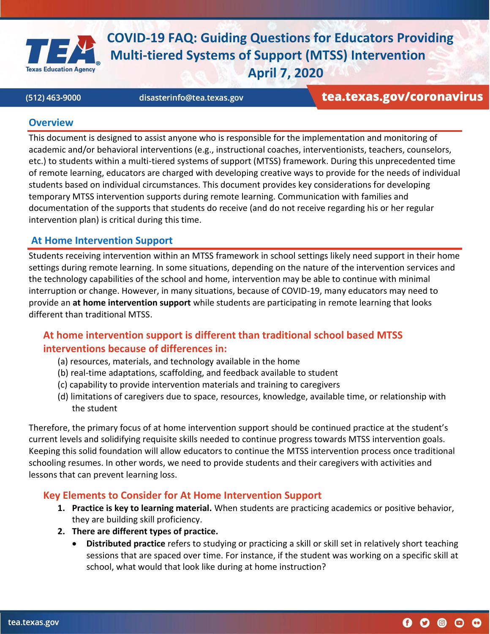

(512) 463-9000

disasterinfo@tea.texas.gov

tea.texas.gov/coronavirus

 $\mathbf 0$   $\mathbf 0$   $\mathbf 0$   $\mathbf 0$ 

#### **Overview**

This document is designed to assist anyone who is responsible for the implementation and monitoring of academic and/or behavioral interventions (e.g., instructional coaches, interventionists, teachers, counselors, etc.) to students within a multi-tiered systems of support (MTSS) framework. During this unprecedented time of remote learning, educators are charged with developing creative ways to provide for the needs of individual students based on individual circumstances. This document provides key considerations for developing temporary MTSS intervention supports during remote learning. Communication with families and documentation of the supports that students do receive (and do not receive regarding his or her regular intervention plan) is critical during this time.

### **At Home Intervention Support**

Students receiving intervention within an MTSS framework in school settings likely need support in their home settings during remote learning. In some situations, depending on the nature of the intervention services and the technology capabilities of the school and home, intervention may be able to continue with minimal interruption or change. However, in many situations, because of COVID-19, many educators may need to provide an **at home intervention support** while students are participating in remote learning that looks different than traditional MTSS.

## **At home intervention support is different than traditional school based MTSS interventions because of differences in:**

- (a) resources, materials, and technology available in the home
- (b) real-time adaptations, scaffolding, and feedback available to student
- (c) capability to provide intervention materials and training to caregivers
- (d) limitations of caregivers due to space, resources, knowledge, available time, or relationship with the student

Therefore, the primary focus of at home intervention support should be continued practice at the student's current levels and solidifying requisite skills needed to continue progress towards MTSS intervention goals. Keeping this solid foundation will allow educators to continue the MTSS intervention process once traditional schooling resumes. In other words, we need to provide students and their caregivers with activities and lessons that can prevent learning loss.

### **Key Elements to Consider for At Home Intervention Support**

- **1. Practice is key to learning material.** When students are practicing academics or positive behavior, they are building skill proficiency.
- **2. There are different types of practice.**
	- **Distributed practice** refers to studying or practicing a skill or skill set in relatively short teaching sessions that are spaced over time. For instance, if the student was working on a specific skill at school, what would that look like during at home instruction?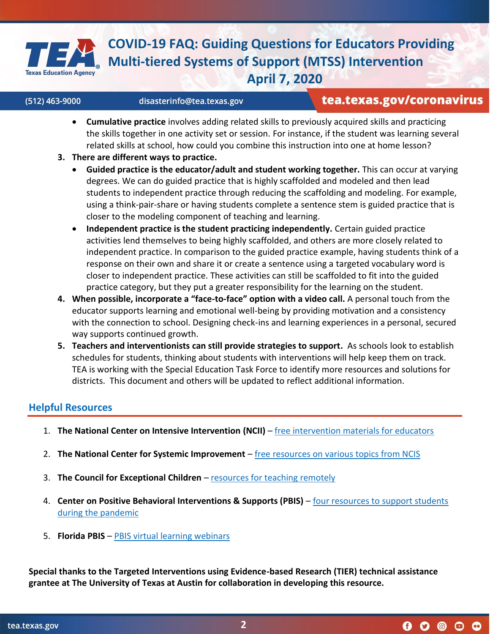

#### (512) 463-9000

# tea.texas.gov/coronavirus

 $0$  0 0 0 0

- **Cumulative practice** involves adding related skills to previously acquired skills and practicing the skills together in one activity set or session. For instance, if the student was learning several related skills at school, how could you combine this instruction into one at home lesson?
- **3. There are different ways to practice.**

disasterinfo@tea.texas.gov

- **Guided practice is the educator/adult and student working together.** This can occur at varying degrees. We can do guided practice that is highly scaffolded and modeled and then lead students to independent practice through reducing the scaffolding and modeling. For example, using a think-pair-share or having students complete a sentence stem is guided practice that is closer to the modeling component of teaching and learning.
- **Independent practice is the student practicing independently.** Certain guided practice activities lend themselves to being highly scaffolded, and others are more closely related to independent practice. In comparison to the guided practice example, having students think of a response on their own and share it or create a sentence using a targeted vocabulary word is closer to independent practice. These activities can still be scaffolded to fit into the guided practice category, but they put a greater responsibility for the learning on the student.
- **4. When possible, incorporate a "face-to-face" option with a video call.** A personal touch from the educator supports learning and emotional well-being by providing motivation and a consistency with the connection to school. Designing check-ins and learning experiences in a personal, secured way supports continued growth.
- **5. Teachers and interventionists can still provide strategies to support.** As schools look to establish schedules for students, thinking about students with interventions will help keep them on track. TEA is working with the Special Education Task Force to identify more resources and solutions for districts. This document and others will be updated to reflect additional information.

## **Helpful Resources**

- 1. **The National Center on Intensive Intervention (NCII)**  [free intervention materials for educators](https://intensiveintervention.org/audience/educators)
- 2. **The National Center for Systemic Improvement**  [free resources on various topics from NCIS](https://ncsi-library.wested.org/resources)
- 3. **The Council for Exceptional Children**  [resources for teaching remotely](https://cec.sped.org/Tools-and-Resources/Resources-for-Teaching-Remotely)
- 4. **Center on Positive Behavioral Interventions & Supports (PBIS)**  [four resources to support students](https://www.pbis.org/announcements/4-resources-to-support-students-during-the-pandemic)  [during the pandemic](https://www.pbis.org/announcements/4-resources-to-support-students-during-the-pandemic)
- 5. **Florida PBIS**  [PBIS virtual learning webinars](https://www.livebinders.com/play/play?id=2563197)

**Special thanks to the Targeted Interventions using Evidence-based Research (TIER) technical assistance grantee at The University of Texas at Austin for collaboration in developing this resource.**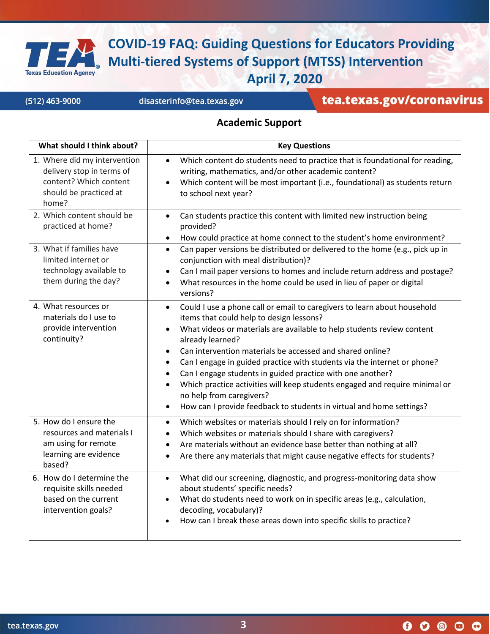

(512) 463-9000

disasterinfo@tea.texas.gov

# tea.texas.gov/coronavirus

### **Academic Support**

| What should I think about?                                                                                             | <b>Key Questions</b>                                                                                                                                                                                                                                                                                                                                                                                                                                                                                                                                                                                                                                                                                    |
|------------------------------------------------------------------------------------------------------------------------|---------------------------------------------------------------------------------------------------------------------------------------------------------------------------------------------------------------------------------------------------------------------------------------------------------------------------------------------------------------------------------------------------------------------------------------------------------------------------------------------------------------------------------------------------------------------------------------------------------------------------------------------------------------------------------------------------------|
| 1. Where did my intervention<br>delivery stop in terms of<br>content? Which content<br>should be practiced at<br>home? | Which content do students need to practice that is foundational for reading,<br>$\bullet$<br>writing, mathematics, and/or other academic content?<br>Which content will be most important (i.e., foundational) as students return<br>to school next year?                                                                                                                                                                                                                                                                                                                                                                                                                                               |
| 2. Which content should be<br>practiced at home?                                                                       | Can students practice this content with limited new instruction being<br>$\bullet$<br>provided?<br>How could practice at home connect to the student's home environment?<br>$\bullet$                                                                                                                                                                                                                                                                                                                                                                                                                                                                                                                   |
| 3. What if families have<br>limited internet or<br>technology available to<br>them during the day?                     | Can paper versions be distributed or delivered to the home (e.g., pick up in<br>$\bullet$<br>conjunction with meal distribution)?<br>Can I mail paper versions to homes and include return address and postage?<br>$\bullet$<br>What resources in the home could be used in lieu of paper or digital<br>$\bullet$<br>versions?                                                                                                                                                                                                                                                                                                                                                                          |
| 4. What resources or<br>materials do I use to<br>provide intervention<br>continuity?                                   | Could I use a phone call or email to caregivers to learn about household<br>$\bullet$<br>items that could help to design lessons?<br>What videos or materials are available to help students review content<br>$\bullet$<br>already learned?<br>Can intervention materials be accessed and shared online?<br>$\bullet$<br>Can I engage in guided practice with students via the internet or phone?<br>$\bullet$<br>Can I engage students in guided practice with one another?<br>$\bullet$<br>Which practice activities will keep students engaged and require minimal or<br>$\bullet$<br>no help from caregivers?<br>How can I provide feedback to students in virtual and home settings?<br>$\bullet$ |
| 5. How do I ensure the<br>resources and materials I<br>am using for remote<br>learning are evidence<br>based?          | Which websites or materials should I rely on for information?<br>$\bullet$<br>Which websites or materials should I share with caregivers?<br>$\bullet$<br>Are materials without an evidence base better than nothing at all?<br>$\bullet$<br>Are there any materials that might cause negative effects for students?<br>$\bullet$                                                                                                                                                                                                                                                                                                                                                                       |
| 6. How do I determine the<br>requisite skills needed<br>based on the current<br>intervention goals?                    | What did our screening, diagnostic, and progress-monitoring data show<br>$\bullet$<br>about students' specific needs?<br>What do students need to work on in specific areas (e.g., calculation,<br>decoding, vocabulary)?<br>How can I break these areas down into specific skills to practice?<br>$\bullet$                                                                                                                                                                                                                                                                                                                                                                                            |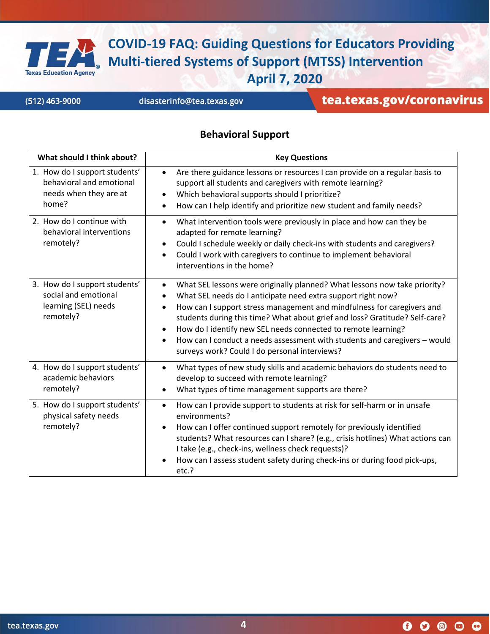

(512) 463-9000

disasterinfo@tea.texas.gov

# tea.texas.gov/coronavirus

#### **Behavioral Support**

| What should I think about?                                                                   | <b>Key Questions</b>                                                                                                                                                                                                                                                                                                                                                                                                                                                                                                                                               |
|----------------------------------------------------------------------------------------------|--------------------------------------------------------------------------------------------------------------------------------------------------------------------------------------------------------------------------------------------------------------------------------------------------------------------------------------------------------------------------------------------------------------------------------------------------------------------------------------------------------------------------------------------------------------------|
| 1. How do I support students'<br>behavioral and emotional<br>needs when they are at<br>home? | Are there guidance lessons or resources I can provide on a regular basis to<br>$\bullet$<br>support all students and caregivers with remote learning?<br>Which behavioral supports should I prioritize?<br>$\bullet$<br>How can I help identify and prioritize new student and family needs?<br>$\bullet$                                                                                                                                                                                                                                                          |
| 2. How do I continue with<br>behavioral interventions<br>remotely?                           | What intervention tools were previously in place and how can they be<br>$\bullet$<br>adapted for remote learning?<br>Could I schedule weekly or daily check-ins with students and caregivers?<br>$\bullet$<br>Could I work with caregivers to continue to implement behavioral<br>$\bullet$<br>interventions in the home?                                                                                                                                                                                                                                          |
| 3. How do I support students'<br>social and emotional<br>learning (SEL) needs<br>remotely?   | What SEL lessons were originally planned? What lessons now take priority?<br>$\bullet$<br>What SEL needs do I anticipate need extra support right now?<br>$\bullet$<br>How can I support stress management and mindfulness for caregivers and<br>$\bullet$<br>students during this time? What about grief and loss? Gratitude? Self-care?<br>How do I identify new SEL needs connected to remote learning?<br>$\bullet$<br>How can I conduct a needs assessment with students and caregivers - would<br>$\bullet$<br>surveys work? Could I do personal interviews? |
| 4. How do I support students'<br>academic behaviors<br>remotely?                             | What types of new study skills and academic behaviors do students need to<br>$\bullet$<br>develop to succeed with remote learning?<br>What types of time management supports are there?<br>$\bullet$                                                                                                                                                                                                                                                                                                                                                               |
| 5. How do I support students'<br>physical safety needs<br>remotely?                          | How can I provide support to students at risk for self-harm or in unsafe<br>$\bullet$<br>environments?<br>How can I offer continued support remotely for previously identified<br>$\bullet$<br>students? What resources can I share? (e.g., crisis hotlines) What actions can<br>I take (e.g., check-ins, wellness check requests)?<br>How can I assess student safety during check-ins or during food pick-ups,<br>etc.?                                                                                                                                          |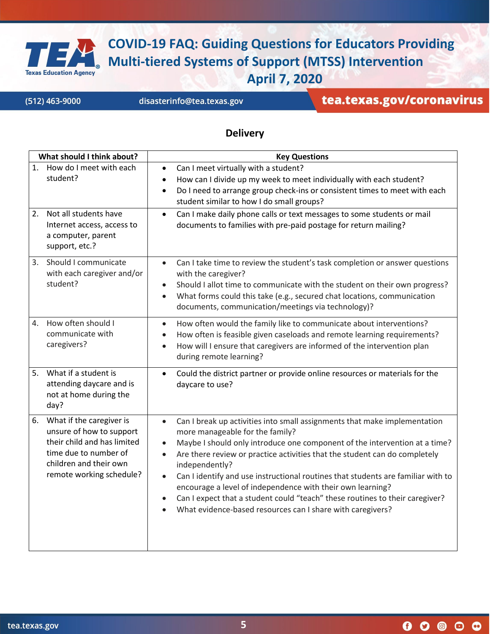

(512) 463-9000

disasterinfo@tea.texas.gov

tea.texas.gov/coronavirus

### **Delivery**

| What should I think about?                                                                                                                                               | <b>Key Questions</b>                                                                                                                                                                                                                                                                                                                                                                                                                                                                                                                                                                                                                                        |
|--------------------------------------------------------------------------------------------------------------------------------------------------------------------------|-------------------------------------------------------------------------------------------------------------------------------------------------------------------------------------------------------------------------------------------------------------------------------------------------------------------------------------------------------------------------------------------------------------------------------------------------------------------------------------------------------------------------------------------------------------------------------------------------------------------------------------------------------------|
| How do I meet with each<br>1.<br>student?                                                                                                                                | Can I meet virtually with a student?<br>$\bullet$<br>How can I divide up my week to meet individually with each student?<br>$\bullet$<br>Do I need to arrange group check-ins or consistent times to meet with each<br>$\bullet$<br>student similar to how I do small groups?                                                                                                                                                                                                                                                                                                                                                                               |
| Not all students have<br>2.<br>Internet access, access to<br>a computer, parent<br>support, etc.?                                                                        | Can I make daily phone calls or text messages to some students or mail<br>$\bullet$<br>documents to families with pre-paid postage for return mailing?                                                                                                                                                                                                                                                                                                                                                                                                                                                                                                      |
| 3. Should I communicate<br>with each caregiver and/or<br>student?                                                                                                        | Can I take time to review the student's task completion or answer questions<br>$\bullet$<br>with the caregiver?<br>Should I allot time to communicate with the student on their own progress?<br>$\bullet$<br>What forms could this take (e.g., secured chat locations, communication<br>$\bullet$<br>documents, communication/meetings via technology)?                                                                                                                                                                                                                                                                                                    |
| How often should I<br>4.<br>communicate with<br>caregivers?                                                                                                              | How often would the family like to communicate about interventions?<br>$\bullet$<br>How often is feasible given caseloads and remote learning requirements?<br>$\bullet$<br>How will I ensure that caregivers are informed of the intervention plan<br>$\bullet$<br>during remote learning?                                                                                                                                                                                                                                                                                                                                                                 |
| What if a student is<br>5.<br>attending daycare and is<br>not at home during the<br>day?                                                                                 | Could the district partner or provide online resources or materials for the<br>$\bullet$<br>daycare to use?                                                                                                                                                                                                                                                                                                                                                                                                                                                                                                                                                 |
| What if the caregiver is<br>6.<br>unsure of how to support<br>their child and has limited<br>time due to number of<br>children and their own<br>remote working schedule? | Can I break up activities into small assignments that make implementation<br>$\bullet$<br>more manageable for the family?<br>Maybe I should only introduce one component of the intervention at a time?<br>$\bullet$<br>Are there review or practice activities that the student can do completely<br>$\bullet$<br>independently?<br>Can I identify and use instructional routines that students are familiar with to<br>$\bullet$<br>encourage a level of independence with their own learning?<br>Can I expect that a student could "teach" these routines to their caregiver?<br>$\bullet$<br>What evidence-based resources can I share with caregivers? |